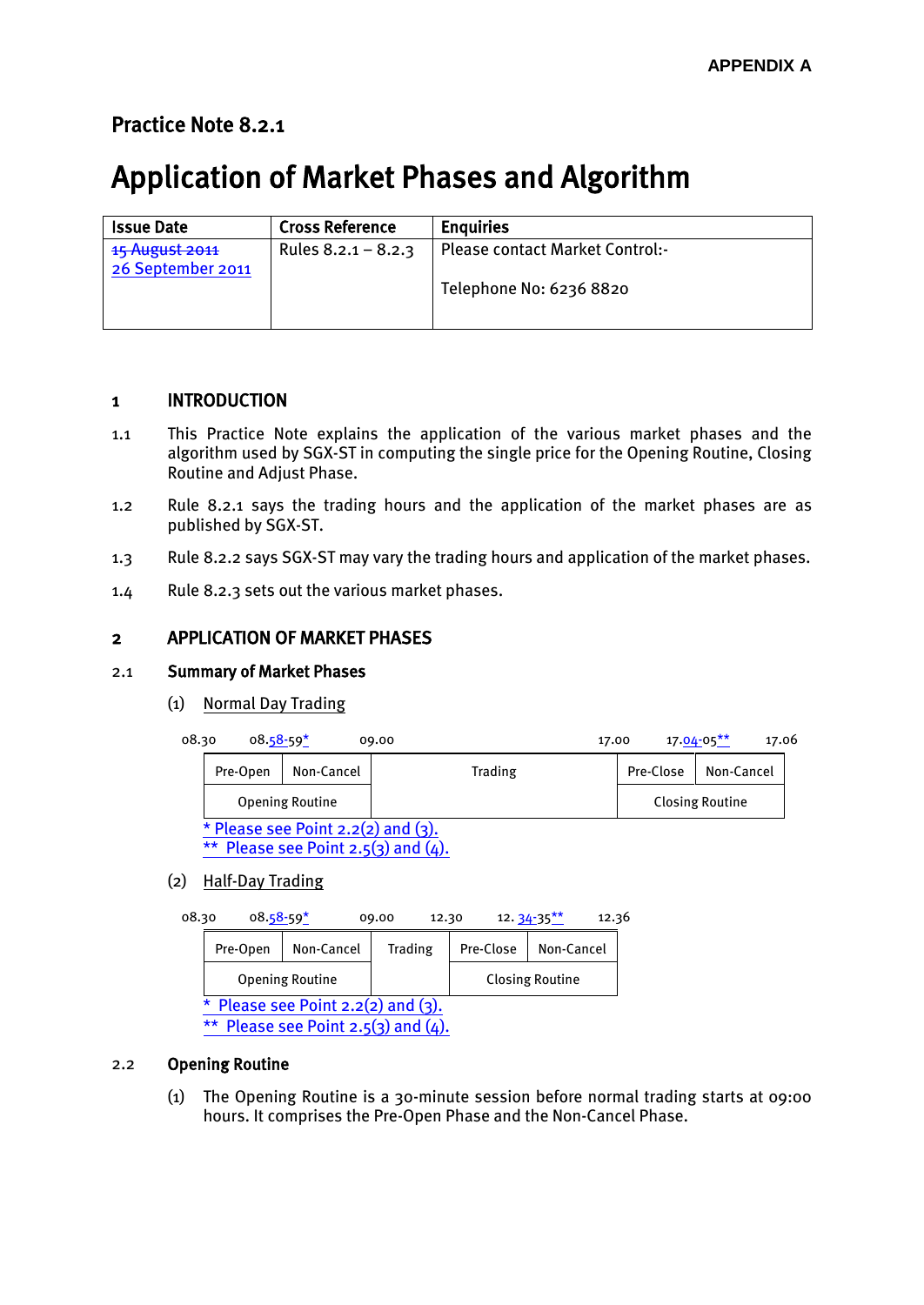# Practice Note 8.2.1

# Application of Market Phases and Algorithm

| <b>Issue Date</b>                   | <b>Cross Reference</b> | <b>Enguiries</b>                       |
|-------------------------------------|------------------------|----------------------------------------|
| 15 August 2011<br>26 September 2011 | Rules $8.2.1 - 8.2.3$  | <b>Please contact Market Control:-</b> |
|                                     |                        | Telephone No: 6236 8820                |

# 1 INTRODUCTION

- 1.1 This Practice Note explains the application of the various market phases and the algorithm used by SGX-ST in computing the single price for the Opening Routine, Closing Routine and Adjust Phase.
- 1.2 Rule 8.2.1 says the trading hours and the application of the market phases are as published by SGX-ST.
- 1.3 Rule 8.2.2 says SGX-ST may vary the trading hours and application of the market phases.
- 1.4 Rule 8.2.3 sets out the various market phases.

## 2 APPLICATION OF MARKET PHASES

### 2.1 Summary of Market Phases

(1) Normal Day Trading

| 08.30 |          | $08.58 - 59*$                                                                       | 09.00   | 17.00     | 17.06<br>$17.04 - 05$ ** |
|-------|----------|-------------------------------------------------------------------------------------|---------|-----------|--------------------------|
|       | Pre-Open | Non-Cancel                                                                          | Trading | Pre-Close | Non-Cancel               |
|       |          | <b>Opening Routine</b>                                                              |         |           | <b>Closing Routine</b>   |
|       |          | * Please see Point $2.2(2)$ and $(3)$ .<br>** Please see Point $2.5(3)$ and $(4)$ . |         |           |                          |

(2) Half-Day Trading

| 08.30 | $08.58 - 59*$                                  |                        | 09.00<br>12.30 |           | $12.34 - 35***$<br>12.36 |  |  |  |  |  |
|-------|------------------------------------------------|------------------------|----------------|-----------|--------------------------|--|--|--|--|--|
|       | Pre-Open                                       | Non-Cancel             | <b>Trading</b> | Pre-Close | Non-Cancel               |  |  |  |  |  |
|       |                                                | <b>Opening Routine</b> |                |           | <b>Closing Routine</b>   |  |  |  |  |  |
|       | * Please see Point $2.2(2)$ and $(3)$ .        |                        |                |           |                          |  |  |  |  |  |
|       | Please see Point $2.5(3)$ and $(4)$ .<br>$***$ |                        |                |           |                          |  |  |  |  |  |

#### 2.2 Opening Routine

(1) The Opening Routine is a 30-minute session before normal trading starts at 09:00 hours. It comprises the Pre-Open Phase and the Non-Cancel Phase.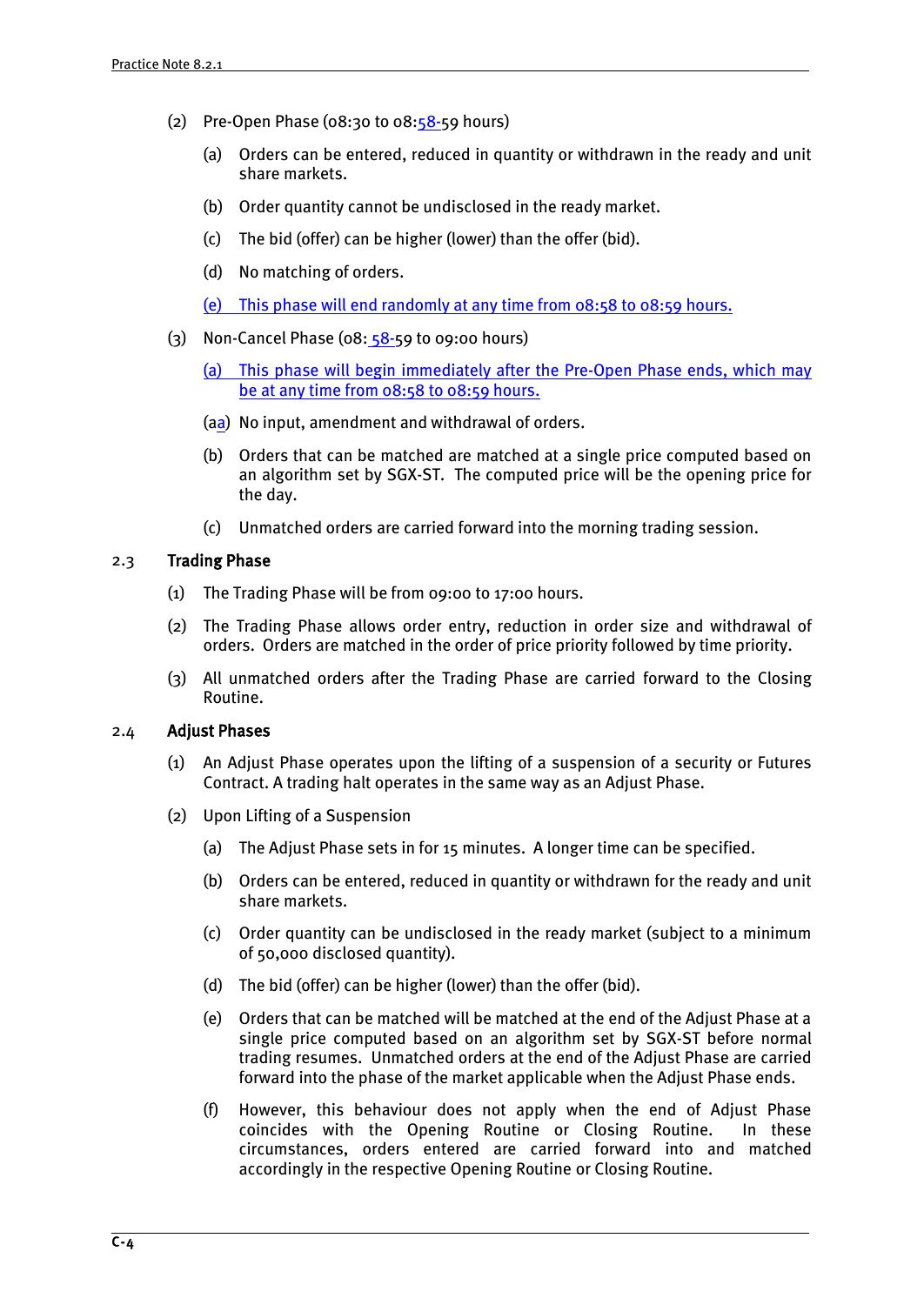- (2) Pre-Open Phase ( $08:30$  to  $08:58-59$  hours)
	- (a) Orders can be entered, reduced in quantity or withdrawn in the ready and unit share markets.
	- (b) Order quantity cannot be undisclosed in the ready market.
	- (c) The bid (offer) can be higher (lower) than the offer (bid).
	- (d) No matching of orders.
	- (e) This phase will end randomly at any time from 08:58 to 08:59 hours.
- (3) Non-Cancel Phase ( $08: 58-59$  to 09:00 hours)
	- (a) This phase will begin immediately after the Pre-Open Phase ends, which may be at any time from 08:58 to 08:59 hours.
	- (aa) No input, amendment and withdrawal of orders.
	- (b) Orders that can be matched are matched at a single price computed based on an algorithm set by SGX-ST. The computed price will be the opening price for the day.
	- (c) Unmatched orders are carried forward into the morning trading session.

#### 2.3 Trading Phase

- (1) The Trading Phase will be from 09:00 to 17:00 hours.
- (2) The Trading Phase allows order entry, reduction in order size and withdrawal of orders. Orders are matched in the order of price priority followed by time priority.
- (3) All unmatched orders after the Trading Phase are carried forward to the Closing Routine.

#### 2.4 Adjust Phases

- (1) An Adjust Phase operates upon the lifting of a suspension of a security or Futures Contract. A trading halt operates in the same way as an Adjust Phase.
- (2) Upon Lifting of a Suspension
	- (a) The Adjust Phase sets in for 15 minutes. A longer time can be specified.
	- (b) Orders can be entered, reduced in quantity or withdrawn for the ready and unit share markets.
	- (c) Order quantity can be undisclosed in the ready market (subject to a minimum of 50,000 disclosed quantity).
	- (d) The bid (offer) can be higher (lower) than the offer (bid).
	- (e) Orders that can be matched will be matched at the end of the Adjust Phase at a single price computed based on an algorithm set by SGX-ST before normal trading resumes. Unmatched orders at the end of the Adjust Phase are carried forward into the phase of the market applicable when the Adjust Phase ends.
	- (f) However, this behaviour does not apply when the end of Adjust Phase coincides with the Opening Routine or Closing Routine. In these circumstances, orders entered are carried forward into and matched accordingly in the respective Opening Routine or Closing Routine.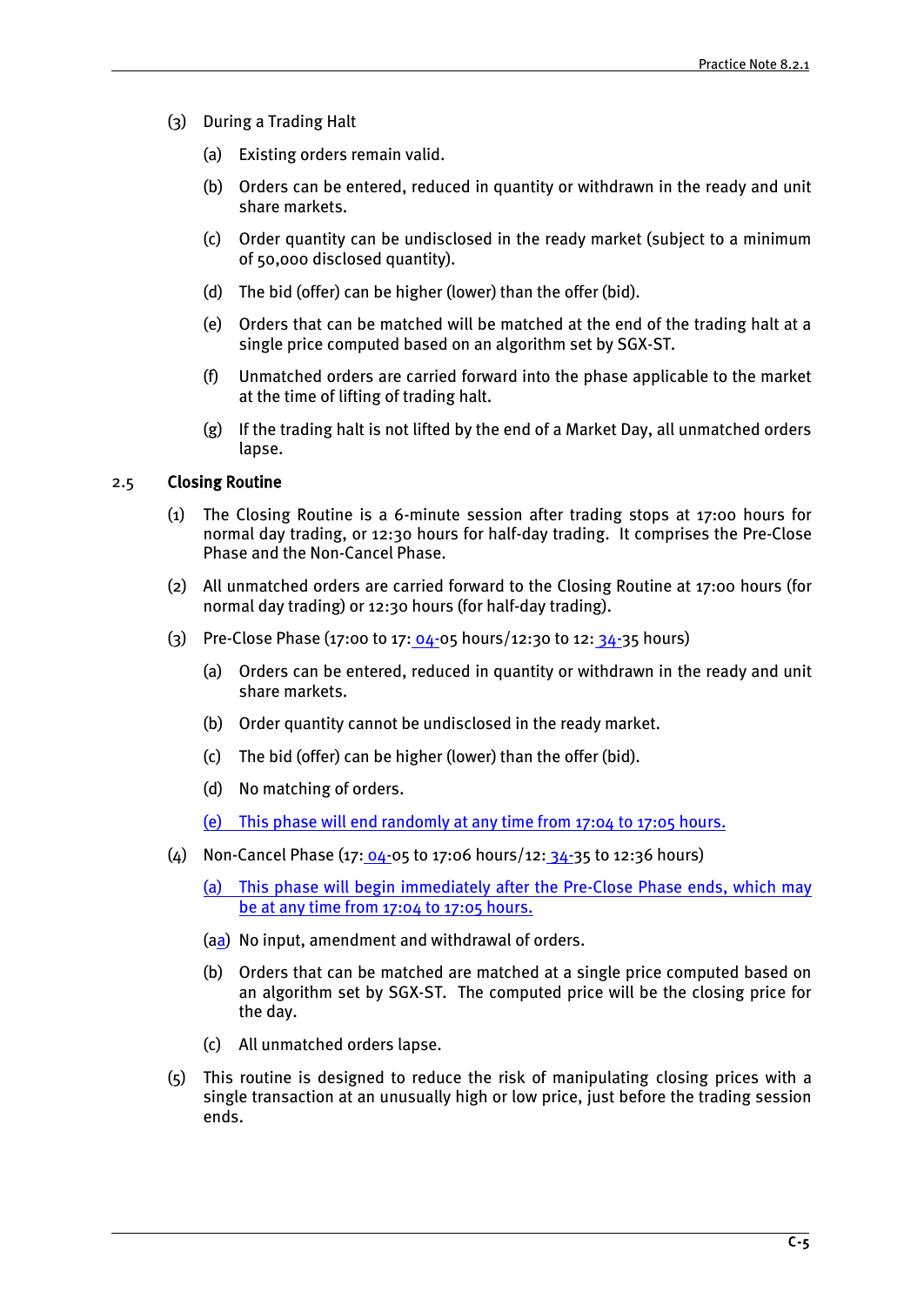- (3) During a Trading Halt
	- (a) Existing orders remain valid.
	- (b) Orders can be entered, reduced in quantity or withdrawn in the ready and unit share markets.
	- (c) Order quantity can be undisclosed in the ready market (subject to a minimum of 50,000 disclosed quantity).
	- (d) The bid (offer) can be higher (lower) than the offer (bid).
	- (e) Orders that can be matched will be matched at the end of the trading halt at a single price computed based on an algorithm set by SGX-ST.
	- (f) Unmatched orders are carried forward into the phase applicable to the market at the time of lifting of trading halt.
	- (g) If the trading halt is not lifted by the end of a Market Day, all unmatched orders lapse.

#### 2.5 Closing Routine

- (1) The Closing Routine is a 6-minute session after trading stops at 17:00 hours for normal day trading, or 12:30 hours for half-day trading. It comprises the Pre-Close Phase and the Non-Cancel Phase.
- (2) All unmatched orders are carried forward to the Closing Routine at 17:00 hours (for normal day trading) or 12:30 hours (for half-day trading).
- (3) Pre-Close Phase (17:00 to 17:  $04-05$  hours/12:30 to 12:  $34-35$  hours)
	- (a) Orders can be entered, reduced in quantity or withdrawn in the ready and unit share markets.
	- (b) Order quantity cannot be undisclosed in the ready market.
	- (c) The bid (offer) can be higher (lower) than the offer (bid).
	- (d) No matching of orders.
	- (e) This phase will end randomly at any time from 17:04 to 17:05 hours.
- (4) Non-Cancel Phase (17:  $04-05$  to 17:06 hours/12:  $34-35$  to 12:36 hours)
	- (a) This phase will begin immediately after the Pre-Close Phase ends, which may be at any time from 17:04 to 17:05 hours.
	- (aa) No input, amendment and withdrawal of orders.
	- (b) Orders that can be matched are matched at a single price computed based on an algorithm set by SGX-ST. The computed price will be the closing price for the day.
	- (c) All unmatched orders lapse.
- (5) This routine is designed to reduce the risk of manipulating closing prices with a single transaction at an unusually high or low price, just before the trading session ends.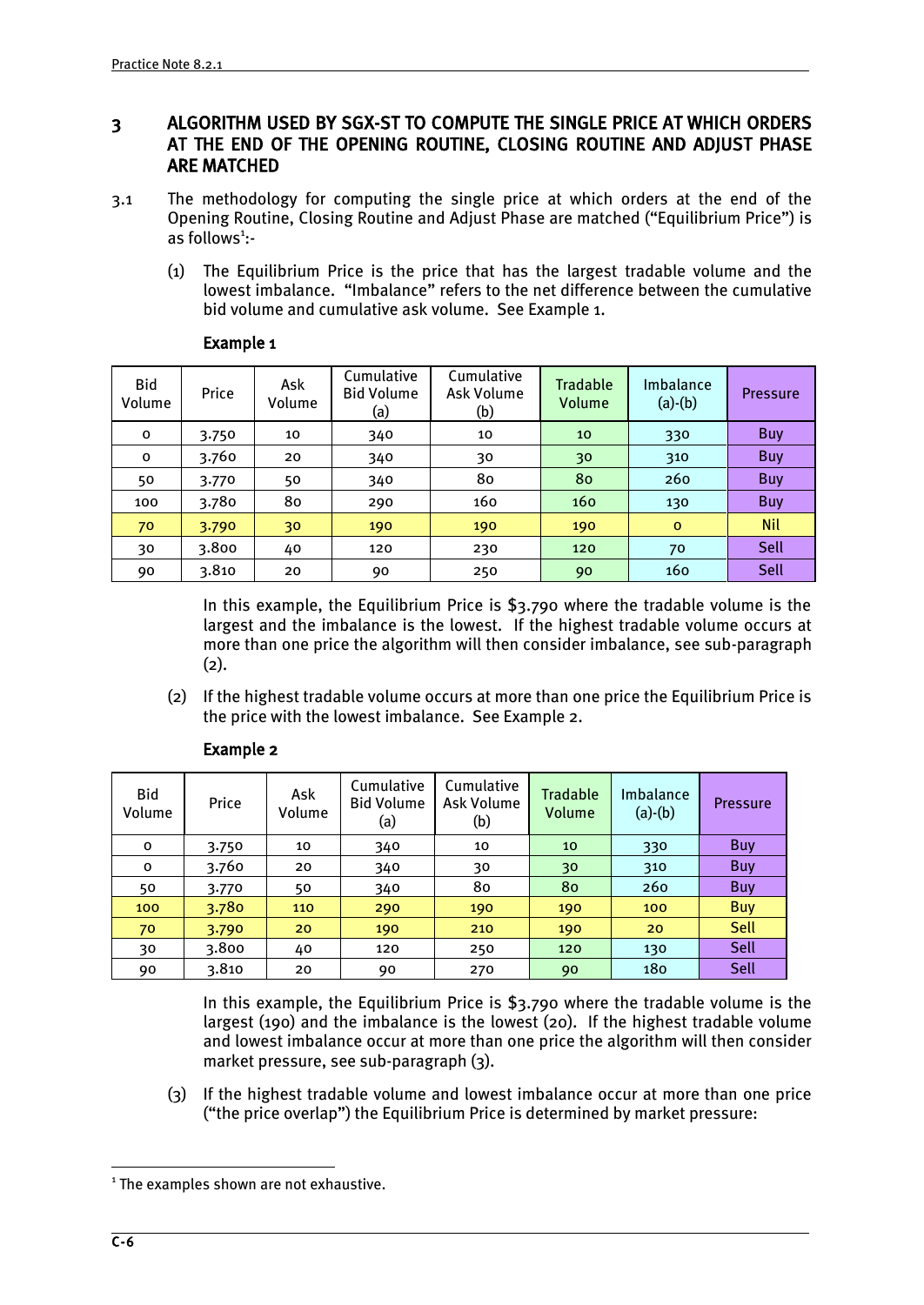# 3 ALGORITHM USED BY SGX-ST TO COMPUTE THE SINGLE PRICE AT WHICH ORDERS AT THE END OF THE OPENING ROUTINE, CLOSING ROUTINE AND ADJUST PHASE ARE MATCHED

- 3.1 The methodology for computing the single price at which orders at the end of the Opening Routine, Closing Routine and Adjust Phase are matched ("Equilibrium Price") is as follows<sup>1</sup>:-
	- (1) The Equilibrium Price is the price that has the largest tradable volume and the lowest imbalance. "Imbalance" refers to the net difference between the cumulative bid volume and cumulative ask volume. See Example 1.

| Bid<br>Volume | Price | Ask<br>Volume | Cumulative<br><b>Bid Volume</b><br>(a) | Cumulative<br>Ask Volume<br>(b) | <b>Tradable</b><br>Volume | Imbalance<br>$(a)-(b)$ | <b>Pressure</b> |
|---------------|-------|---------------|----------------------------------------|---------------------------------|---------------------------|------------------------|-----------------|
| $\mathbf{o}$  | 3.750 | 10            | 340                                    | 10                              | 10                        | 330                    | Buy             |
| $\mathbf{o}$  | 3.760 | 20            | 340                                    | 30                              | 30                        | 310                    | Buy             |
| 50            | 3.770 | 50            | 340                                    | 80                              | 80                        | 260                    | Buy             |
| 100           | 3.780 | 80            | 290                                    | 160                             | 160                       | 130                    | Buy             |
| 70            | 3.790 | 30            | 190                                    | 190                             | 190                       | $\mathbf{o}$           | <b>Nil</b>      |
| 30            | 3.800 | 40            | 120                                    | 230                             | 120                       | 70                     | Sell            |
| 90            | 3.810 | 20            | 90                                     | 250                             | 90                        | 160                    | Sell            |

#### Example 1

In this example, the Equilibrium Price is \$3.790 where the tradable volume is the largest and the imbalance is the lowest. If the highest tradable volume occurs at more than one price the algorithm will then consider imbalance, see sub-paragraph (2).

(2) If the highest tradable volume occurs at more than one price the Equilibrium Price is the price with the lowest imbalance. See Example 2.

| Bid<br>Volume | Price | Ask<br>Volume | Cumulative<br><b>Bid Volume</b><br>(a) | Cumulative<br>Ask Volume<br>(b) | <b>Tradable</b><br>Volume | Imbalance<br>$(a)-(b)$ | <b>Pressure</b> |
|---------------|-------|---------------|----------------------------------------|---------------------------------|---------------------------|------------------------|-----------------|
| 0             | 3.750 | 10            | 340                                    | 10                              | 10                        | 330                    | Buy             |
| 0             | 3.760 | 20            | 340                                    | 30                              | 30                        | 310                    | <b>Buy</b>      |
| 50            | 3.770 | 50            | 340                                    | 80                              | 80                        | 260                    | Buy             |
| 100           | 3.780 | 110           | 290                                    | 190                             | 190                       | 100                    | <b>Buy</b>      |
| 70            | 3.790 | 20            | 190                                    | 210                             | 190                       | 20                     | Sell            |
| 30            | 3.800 | 40            | 120                                    | 250                             | 120                       | 130                    | Sell            |
| 90            | 3.810 | 20            | 90                                     | 270                             | 90                        | 180                    | Sell            |

#### Example 2

In this example, the Equilibrium Price is \$3.790 where the tradable volume is the largest (190) and the imbalance is the lowest (20). If the highest tradable volume and lowest imbalance occur at more than one price the algorithm will then consider market pressure, see sub-paragraph (3).

(3) If the highest tradable volume and lowest imbalance occur at more than one price ("the price overlap") the Equilibrium Price is determined by market pressure:

<u>.</u>

<sup>&</sup>lt;sup>1</sup> The examples shown are not exhaustive.